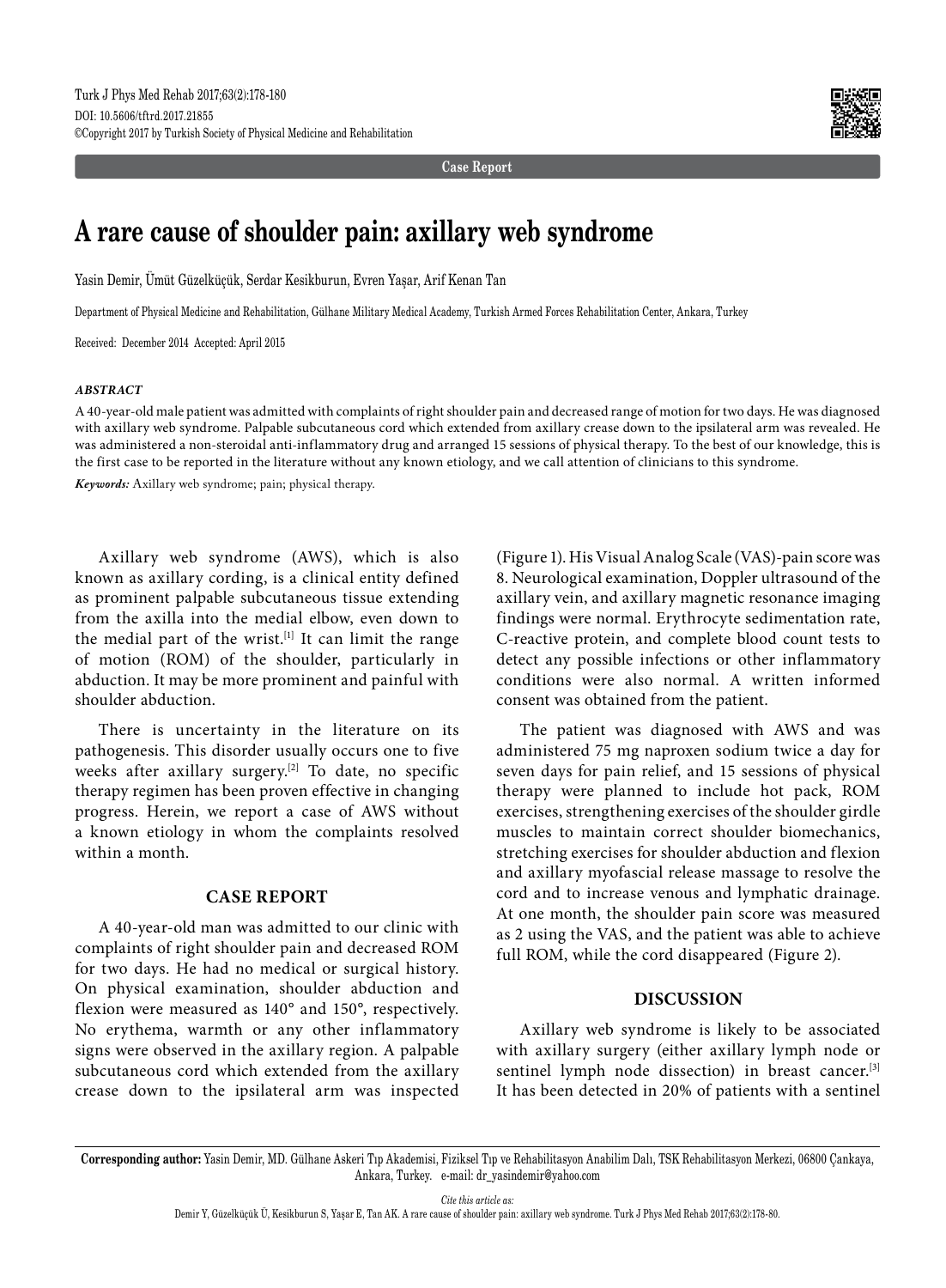

**Case Report**

# **A rare cause of shoulder pain: axillary web syndrome**

Yasin Demir, Ümüt Güzelküçük, Serdar Kesikburun, Evren Yaşar, Arif Kenan Tan

Department of Physical Medicine and Rehabilitation, Gülhane Military Medical Academy, Turkish Armed Forces Rehabilitation Center, Ankara, Turkey

Received: December 2014 Accepted: April 2015

#### *ABSTRACT*

A 40-year-old male patient was admitted with complaints of right shoulder pain and decreased range of motion for two days. He was diagnosed with axillary web syndrome. Palpable subcutaneous cord which extended from axillary crease down to the ipsilateral arm was revealed. He was administered a non-steroidal anti-inflammatory drug and arranged 15 sessions of physical therapy. To the best of our knowledge, this is the first case to be reported in the literature without any known etiology, and we call attention of clinicians to this syndrome.

*Keywords:* Axillary web syndrome; pain; physical therapy.

Axillary web syndrome (AWS), which is also known as axillary cording, is a clinical entity defined as prominent palpable subcutaneous tissue extending from the axilla into the medial elbow, even down to the medial part of the wrist.<sup>[1]</sup> It can limit the range of motion (ROM) of the shoulder, particularly in abduction. It may be more prominent and painful with shoulder abduction.

There is uncertainty in the literature on its pathogenesis. This disorder usually occurs one to five weeks after axillary surgery.<sup>[2]</sup> To date, no specific therapy regimen has been proven effective in changing progress. Herein, we report a case of AWS without a known etiology in whom the complaints resolved within a month.

#### **CASE REPORT**

A 40-year-old man was admitted to our clinic with complaints of right shoulder pain and decreased ROM for two days. He had no medical or surgical history. On physical examination, shoulder abduction and flexion were measured as 140° and 150°, respectively. No erythema, warmth or any other inflammatory signs were observed in the axillary region. A palpable subcutaneous cord which extended from the axillary crease down to the ipsilateral arm was inspected (Figure 1). His Visual Analog Scale (VAS)-pain score was 8. Neurological examination, Doppler ultrasound of the axillary vein, and axillary magnetic resonance imaging findings were normal. Erythrocyte sedimentation rate, C-reactive protein, and complete blood count tests to detect any possible infections or other inflammatory conditions were also normal. A written informed consent was obtained from the patient.

The patient was diagnosed with AWS and was administered 75 mg naproxen sodium twice a day for seven days for pain relief, and 15 sessions of physical therapy were planned to include hot pack, ROM exercises, strengthening exercises of the shoulder girdle muscles to maintain correct shoulder biomechanics, stretching exercises for shoulder abduction and flexion and axillary myofascial release massage to resolve the cord and to increase venous and lymphatic drainage. At one month, the shoulder pain score was measured as 2 using the VAS, and the patient was able to achieve full ROM, while the cord disappeared (Figure 2).

#### **DISCUSSION**

Axillary web syndrome is likely to be associated with axillary surgery (either axillary lymph node or sentinel lymph node dissection) in breast cancer.<sup>[3]</sup> It has been detected in 20% of patients with a sentinel

*Cite this article as:*

**Corresponding author:** Yasin Demir, MD. Gülhane Askeri Tıp Akademisi, Fiziksel Tıp ve Rehabilitasyon Anabilim Dalı, TSK Rehabilitasyon Merkezi, 06800 Çankaya, Ankara, Turkey. e-mail: dr\_yasindemir@yahoo.com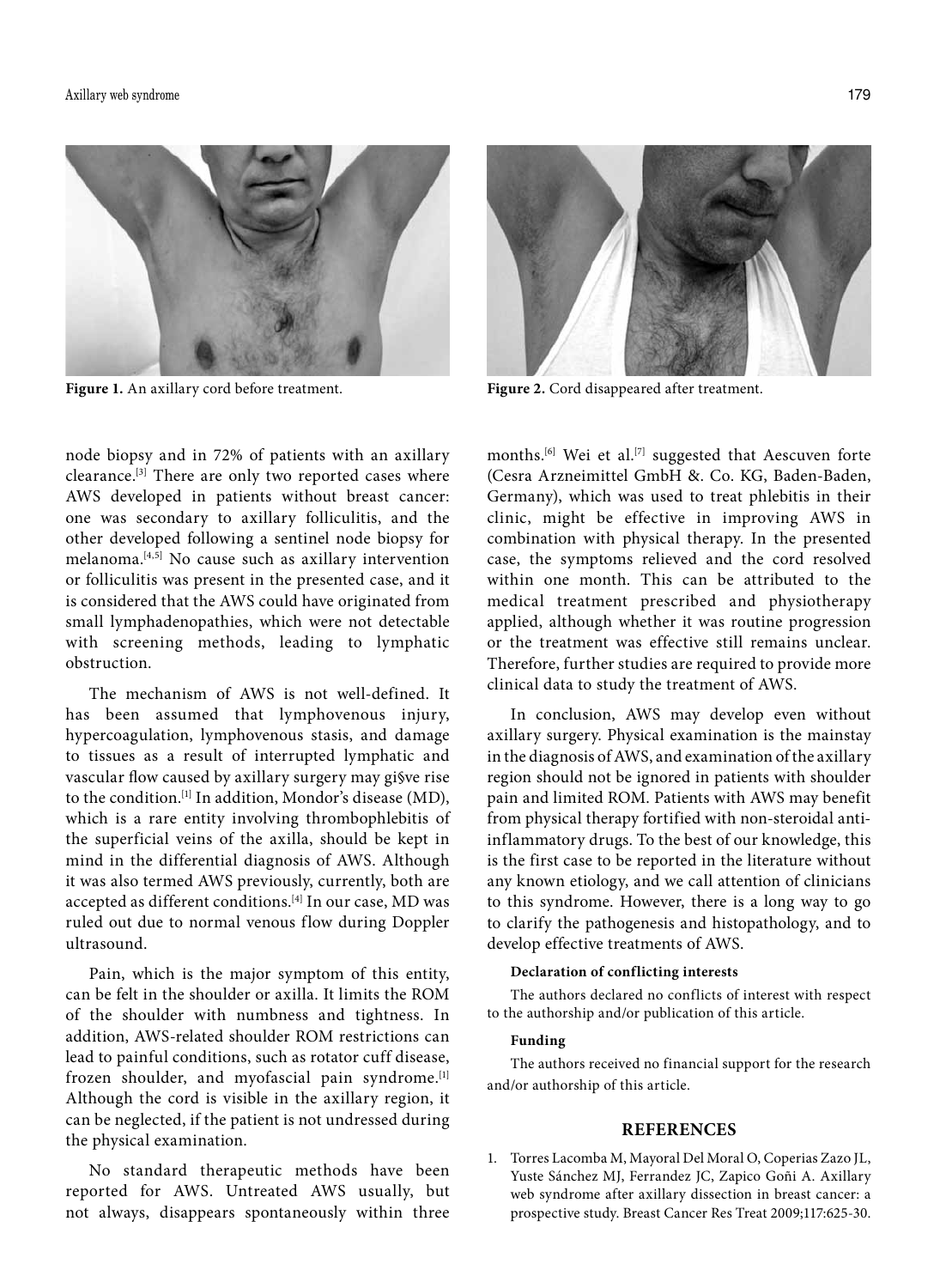

**Figure 1.** An axillary cord before treatment. **Figure 2.** Cord disappeared after treatment.

node biopsy and in 72% of patients with an axillary clearance.[3] There are only two reported cases where AWS developed in patients without breast cancer: one was secondary to axillary folliculitis, and the other developed following a sentinel node biopsy for melanoma.<sup>[4,5]</sup> No cause such as axillary intervention or folliculitis was present in the presented case, and it is considered that the AWS could have originated from small lymphadenopathies, which were not detectable with screening methods, leading to lymphatic obstruction.

The mechanism of AWS is not well-defined. It has been assumed that lymphovenous injury, hypercoagulation, lymphovenous stasis, and damage to tissues as a result of interrupted lymphatic and vascular flow caused by axillary surgery may gi§ve rise to the condition.[1] In addition, Mondor's disease (MD), which is a rare entity involving thrombophlebitis of the superficial veins of the axilla, should be kept in mind in the differential diagnosis of AWS. Although it was also termed AWS previously, currently, both are accepted as different conditions.[4] In our case, MD was ruled out due to normal venous flow during Doppler ultrasound.

Pain, which is the major symptom of this entity, can be felt in the shoulder or axilla. It limits the ROM of the shoulder with numbness and tightness. In addition, AWS-related shoulder ROM restrictions can lead to painful conditions, such as rotator cuff disease, frozen shoulder, and myofascial pain syndrome.<sup>[1]</sup> Although the cord is visible in the axillary region, it can be neglected, if the patient is not undressed during the physical examination.

No standard therapeutic methods have been reported for AWS. Untreated AWS usually, but not always, disappears spontaneously within three



months.<sup>[6]</sup> Wei et al.<sup>[7]</sup> suggested that Aescuven forte (Cesra Arzneimittel GmbH &. Co. KG, Baden-Baden, Germany), which was used to treat phlebitis in their clinic, might be effective in improving AWS in combination with physical therapy. In the presented case, the symptoms relieved and the cord resolved within one month. This can be attributed to the medical treatment prescribed and physiotherapy applied, although whether it was routine progression or the treatment was effective still remains unclear. Therefore, further studies are required to provide more clinical data to study the treatment of AWS.

In conclusion, AWS may develop even without axillary surgery. Physical examination is the mainstay in the diagnosis of AWS, and examination of the axillary region should not be ignored in patients with shoulder pain and limited ROM. Patients with AWS may benefit from physical therapy fortified with non-steroidal antiinflammatory drugs. To the best of our knowledge, this is the first case to be reported in the literature without any known etiology, and we call attention of clinicians to this syndrome. However, there is a long way to go to clarify the pathogenesis and histopathology, and to develop effective treatments of AWS.

## **Declaration of conflicting interests**

The authors declared no conflicts of interest with respect to the authorship and/or publication of this article.

### **Funding**

The authors received no financial support for the research and/or authorship of this article.

#### **REFERENCES**

1. Torres Lacomba M, Mayoral Del Moral O, Coperias Zazo JL, Yuste Sánchez MJ, Ferrandez JC, Zapico Goñi A. Axillary web syndrome after axillary dissection in breast cancer: a prospective study. Breast Cancer Res Treat 2009;117:625-30.